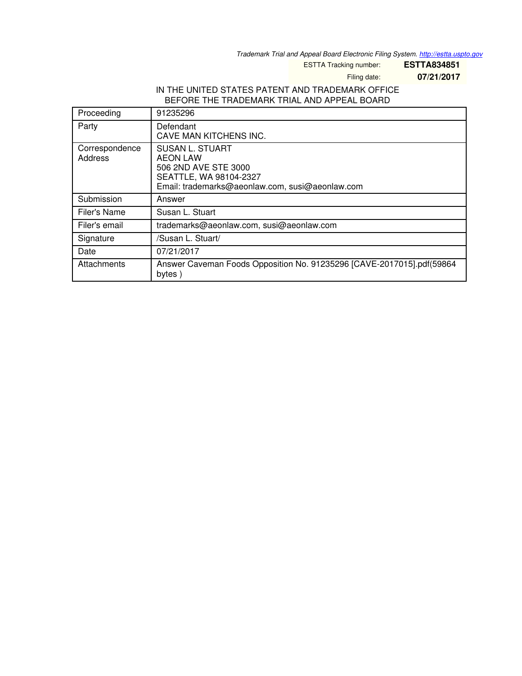*Trademark Trial and Appeal Board Electronic Filing System. <http://estta.uspto.gov>*

ESTTA Tracking number: **ESTTA834851**

Filing date: **07/21/2017**

## IN THE UNITED STATES PATENT AND TRADEMARK OFFICE BEFORE THE TRADEMARK TRIAL AND APPEAL BOARD

| Proceeding                | 91235296                                                                                                                                |
|---------------------------|-----------------------------------------------------------------------------------------------------------------------------------------|
| Party                     | Defendant<br>CAVE MAN KITCHENS INC.                                                                                                     |
| Correspondence<br>Address | <b>SUSAN L. STUART</b><br>AEON LAW<br>506 2ND AVE STE 3000<br>SEATTLE, WA 98104-2327<br>Email: trademarks@aeonlaw.com, susi@aeonlaw.com |
| Submission                | Answer                                                                                                                                  |
| Filer's Name              | Susan L. Stuart                                                                                                                         |
| Filer's email             | trademarks@aeonlaw.com, susi@aeonlaw.com                                                                                                |
| Signature                 | /Susan L. Stuart/                                                                                                                       |
| Date                      | 07/21/2017                                                                                                                              |
| Attachments               | Answer Caveman Foods Opposition No. 91235296 [CAVE-2017015].pdf(59864<br>bytes)                                                         |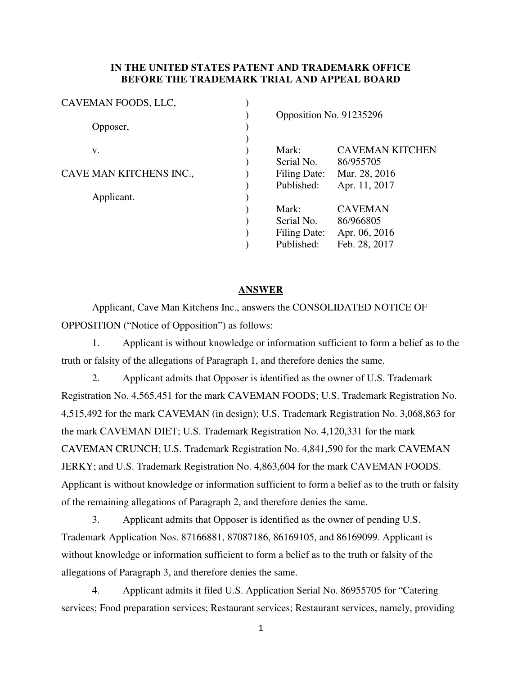## **IN THE UNITED STATES PATENT AND TRADEMARK OFFICE BEFORE THE TRADEMARK TRIAL AND APPEAL BOARD**

| CAVEMAN FOODS, LLC,     |                         |                        |
|-------------------------|-------------------------|------------------------|
|                         | Opposition No. 91235296 |                        |
| Opposer,                |                         |                        |
|                         |                         |                        |
| V.                      | Mark:                   | <b>CAVEMAN KITCHEN</b> |
|                         | Serial No.              | 86/955705              |
| CAVE MAN KITCHENS INC., | Filing Date:            | Mar. 28, 2016          |
|                         | Published:              | Apr. 11, 2017          |
| Applicant.              |                         |                        |
|                         | Mark:                   | <b>CAVEMAN</b>         |
|                         | Serial No.              | 86/966805              |
|                         | Filing Date:            | Apr. 06, 2016          |
|                         | Published:              | Feb. 28, 2017          |
|                         |                         |                        |

#### **ANSWER**

Applicant, Cave Man Kitchens Inc., answers the CONSOLIDATED NOTICE OF OPPOSITION ("Notice of Opposition") as follows:

1. Applicant is without knowledge or information sufficient to form a belief as to the truth or falsity of the allegations of Paragraph 1, and therefore denies the same.

2. Applicant admits that Opposer is identified as the owner of U.S. Trademark Registration No. 4,565,451 for the mark CAVEMAN FOODS; U.S. Trademark Registration No. 4,515,492 for the mark CAVEMAN (in design); U.S. Trademark Registration No. 3,068,863 for the mark CAVEMAN DIET; U.S. Trademark Registration No. 4,120,331 for the mark CAVEMAN CRUNCH; U.S. Trademark Registration No. 4,841,590 for the mark CAVEMAN JERKY; and U.S. Trademark Registration No. 4,863,604 for the mark CAVEMAN FOODS. Applicant is without knowledge or information sufficient to form a belief as to the truth or falsity of the remaining allegations of Paragraph 2, and therefore denies the same.

3. Applicant admits that Opposer is identified as the owner of pending U.S. Trademark Application Nos. 87166881, 87087186, 86169105, and 86169099. Applicant is without knowledge or information sufficient to form a belief as to the truth or falsity of the allegations of Paragraph 3, and therefore denies the same.

4. Applicant admits it filed U.S. Application Serial No. 86955705 for "Catering services; Food preparation services; Restaurant services; Restaurant services, namely, providing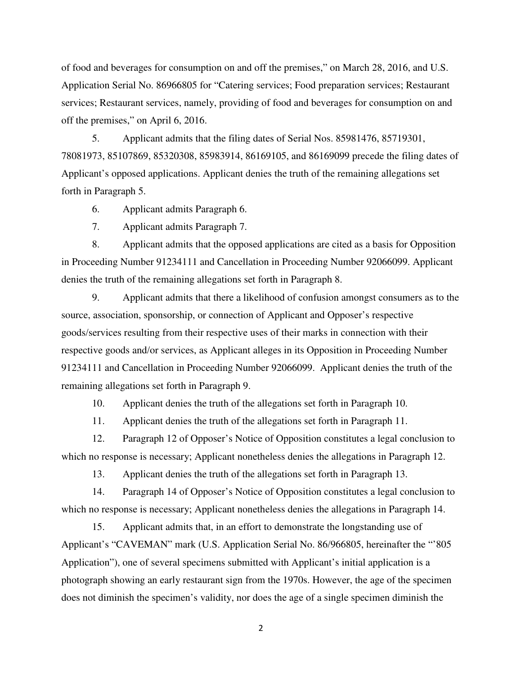of food and beverages for consumption on and off the premises," on March 28, 2016, and U.S. Application Serial No. 86966805 for "Catering services; Food preparation services; Restaurant services; Restaurant services, namely, providing of food and beverages for consumption on and off the premises," on April 6, 2016.

5. Applicant admits that the filing dates of Serial Nos. 85981476, 85719301, 78081973, 85107869, 85320308, 85983914, 86169105, and 86169099 precede the filing dates of Applicant's opposed applications. Applicant denies the truth of the remaining allegations set forth in Paragraph 5.

6. Applicant admits Paragraph 6.

7. Applicant admits Paragraph 7.

8. Applicant admits that the opposed applications are cited as a basis for Opposition in Proceeding Number 91234111 and Cancellation in Proceeding Number 92066099. Applicant denies the truth of the remaining allegations set forth in Paragraph 8.

9. Applicant admits that there a likelihood of confusion amongst consumers as to the source, association, sponsorship, or connection of Applicant and Opposer's respective goods/services resulting from their respective uses of their marks in connection with their respective goods and/or services, as Applicant alleges in its Opposition in Proceeding Number 91234111 and Cancellation in Proceeding Number 92066099. Applicant denies the truth of the remaining allegations set forth in Paragraph 9.

10. Applicant denies the truth of the allegations set forth in Paragraph 10.

11. Applicant denies the truth of the allegations set forth in Paragraph 11.

12. Paragraph 12 of Opposer's Notice of Opposition constitutes a legal conclusion to which no response is necessary; Applicant nonetheless denies the allegations in Paragraph 12.

13. Applicant denies the truth of the allegations set forth in Paragraph 13.

14. Paragraph 14 of Opposer's Notice of Opposition constitutes a legal conclusion to which no response is necessary; Applicant nonetheless denies the allegations in Paragraph 14.

15. Applicant admits that, in an effort to demonstrate the longstanding use of Applicant's "CAVEMAN" mark (U.S. Application Serial No. 86/966805, hereinafter the "'805 Application"), one of several specimens submitted with Applicant's initial application is a photograph showing an early restaurant sign from the 1970s. However, the age of the specimen does not diminish the specimen's validity, nor does the age of a single specimen diminish the

2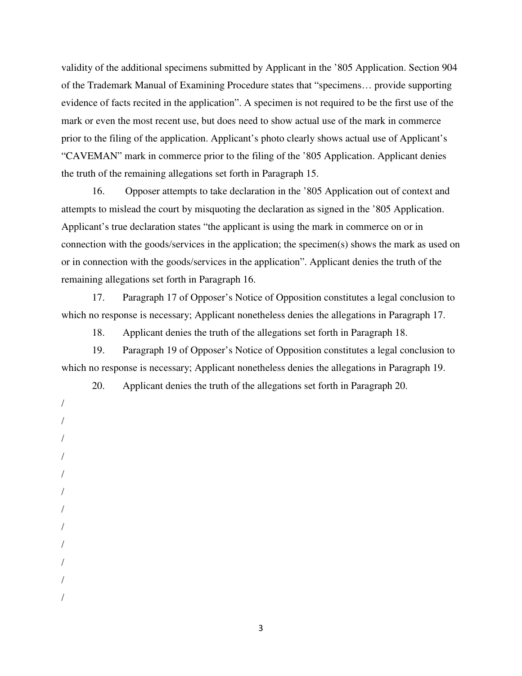validity of the additional specimens submitted by Applicant in the '805 Application. Section 904 of the Trademark Manual of Examining Procedure states that "specimens… provide supporting evidence of facts recited in the application". A specimen is not required to be the first use of the mark or even the most recent use, but does need to show actual use of the mark in commerce prior to the filing of the application. Applicant's photo clearly shows actual use of Applicant's "CAVEMAN" mark in commerce prior to the filing of the '805 Application. Applicant denies the truth of the remaining allegations set forth in Paragraph 15.

16. Opposer attempts to take declaration in the '805 Application out of context and attempts to mislead the court by misquoting the declaration as signed in the '805 Application. Applicant's true declaration states "the applicant is using the mark in commerce on or in connection with the goods/services in the application; the specimen(s) shows the mark as used on or in connection with the goods/services in the application". Applicant denies the truth of the remaining allegations set forth in Paragraph 16.

17. Paragraph 17 of Opposer's Notice of Opposition constitutes a legal conclusion to which no response is necessary; Applicant nonetheless denies the allegations in Paragraph 17.

18. Applicant denies the truth of the allegations set forth in Paragraph 18.

19. Paragraph 19 of Opposer's Notice of Opposition constitutes a legal conclusion to which no response is necessary; Applicant nonetheless denies the allegations in Paragraph 19.

20. Applicant denies the truth of the allegations set forth in Paragraph 20.

/ / / / / / / / / / / /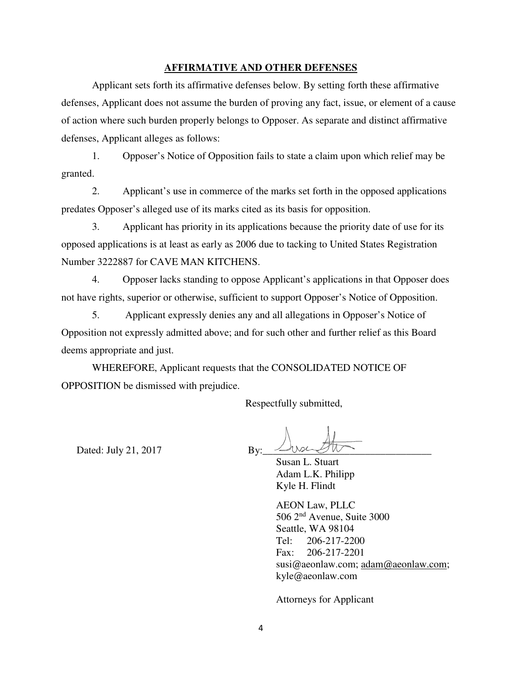### **AFFIRMATIVE AND OTHER DEFENSES**

Applicant sets forth its affirmative defenses below. By setting forth these affirmative defenses, Applicant does not assume the burden of proving any fact, issue, or element of a cause of action where such burden properly belongs to Opposer. As separate and distinct affirmative defenses, Applicant alleges as follows:

1. Opposer's Notice of Opposition fails to state a claim upon which relief may be granted.

2. Applicant's use in commerce of the marks set forth in the opposed applications predates Opposer's alleged use of its marks cited as its basis for opposition.

3. Applicant has priority in its applications because the priority date of use for its opposed applications is at least as early as 2006 due to tacking to United States Registration Number 3222887 for CAVE MAN KITCHENS.

4. Opposer lacks standing to oppose Applicant's applications in that Opposer does not have rights, superior or otherwise, sufficient to support Opposer's Notice of Opposition.

5. Applicant expressly denies any and all allegations in Opposer's Notice of Opposition not expressly admitted above; and for such other and further relief as this Board deems appropriate and just.

WHEREFORE, Applicant requests that the CONSOLIDATED NOTICE OF OPPOSITION be dismissed with prejudice.

Respectfully submitted,

Dated: July 21,  $2017$  By:

 Susan L. Stuart Adam L.K. Philipp Kyle H. Flindt

 AEON Law, PLLC 506 2nd Avenue, Suite 3000 Seattle, WA 98104 Tel: 206-217-2200 Fax: 206-217-2201 susi@aeonlaw.com; [adam@aeonlaw.com;](mailto:adam@aeonlaw.com) kyle@aeonlaw.com

Attorneys for Applicant